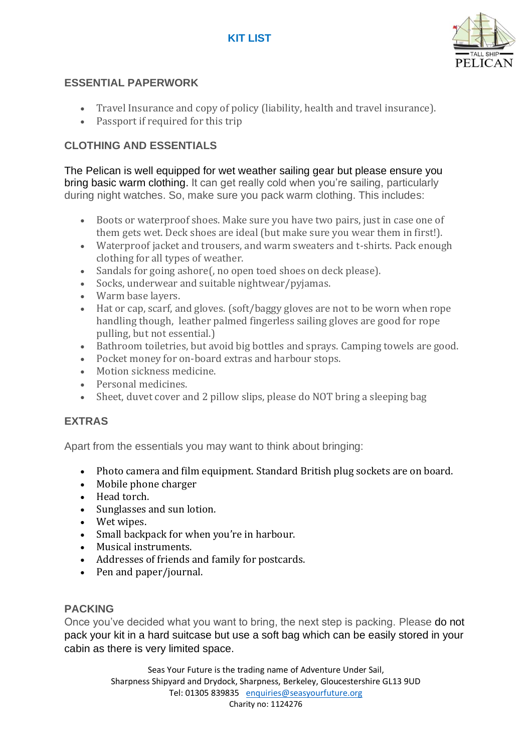# **KIT LIST**



# **ESSENTIAL PAPERWORK**

- Travel Insurance and copy of policy (liability, health and travel insurance).
- Passport if required for this trip

# **CLOTHING AND ESSENTIALS**

The Pelican is well equipped for wet weather sailing gear but please ensure you bring basic warm clothing. It can get really cold when you're sailing, particularly during night watches. So, make sure you pack warm clothing. This includes:

- Boots or waterproof shoes. Make sure you have two pairs, just in case one of them gets wet. Deck shoes are ideal (but make sure you wear them in first!).
- Waterproof jacket and trousers, and warm sweaters and t-shirts. Pack enough clothing for all types of weather.
- Sandals for going ashore(, no open toed shoes on deck please).
- Socks, underwear and suitable nightwear/pyjamas.
- Warm base layers.
- Hat or cap, scarf, and gloves. (soft/baggy gloves are not to be worn when rope handling though, leather palmed fingerless sailing gloves are good for rope pulling, but not essential.)
- Bathroom toiletries, but avoid big bottles and sprays. Camping towels are good.
- Pocket money for on-board extras and harbour stops.
- Motion sickness medicine.
- Personal medicines.
- Sheet, duvet cover and 2 pillow slips, please do NOT bring a sleeping bag

### **EXTRAS**

Apart from the essentials you may want to think about bringing:

- Photo camera and film equipment. Standard British plug sockets are on board.
- Mobile phone charger
- Head torch.
- Sunglasses and sun lotion.
- Wet wipes.
- Small backpack for when you're in harbour.
- Musical instruments.
- Addresses of friends and family for postcards.
- Pen and paper/journal.

#### **PACKING**

Once you've decided what you want to bring, the next step is packing. Please do not pack your kit in a hard suitcase but use a soft bag which can be easily stored in your cabin as there is very limited space.

> Seas Your Future is the trading name of Adventure Under Sail, Sharpness Shipyard and Drydock, Sharpness, Berkeley, Gloucestershire GL13 9UD Tel: 01305 839835 [enquiries@seasyourfuture.org](mailto:enquiries@seasyourfuture.org) Charity no: 1124276